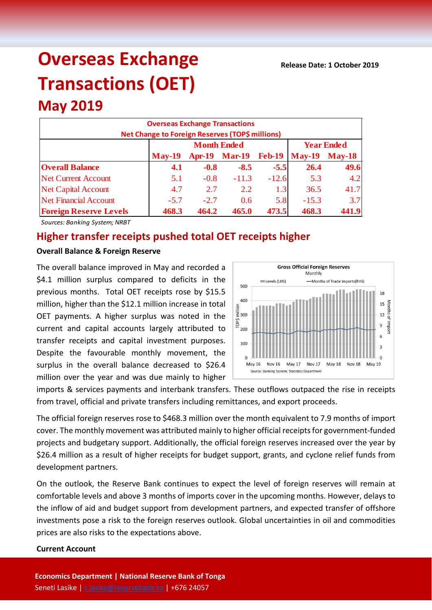# **Overseas Exchange Transactions (OET)**

## **May 2019**

| <b>Overseas Exchange Transactions</b><br>Net Change to Foreign Reserves (TOP\$ millions) |                                         |               |               |               |                        |       |  |  |  |
|------------------------------------------------------------------------------------------|-----------------------------------------|---------------|---------------|---------------|------------------------|-------|--|--|--|
|                                                                                          | <b>Month Ended</b><br><b>Year Ended</b> |               |               |               |                        |       |  |  |  |
|                                                                                          | <b>May-19</b>                           | <b>Apr-19</b> | <b>Mar-19</b> | <b>Feb-19</b> | $\text{May-19}$ May-18 |       |  |  |  |
| <b>Overall Balance</b>                                                                   | 4.1                                     | $-0.8$        | $-8.5$        | $-5.5$        | 26.4                   | 49.6  |  |  |  |
| <b>Net Current Account</b>                                                               | 5.1                                     | $-0.8$        | $-11.3$       | $-12.6$       | 5.3                    | 4.2   |  |  |  |
| <b>Net Capital Account</b>                                                               | 4.7                                     | 2.7           | 2.2           | 1.3           | 36.5                   | 41.7  |  |  |  |
| <b>Net Financial Account</b>                                                             | $-5.7$                                  | $-2.7$        | 0.6           | 5.8           | $-15.3$                | 3.7   |  |  |  |
| <b>Foreign Reserve Levels</b>                                                            | 468.3                                   | 464.2         | 465.0         | 473.5         | 468.3                  | 441.9 |  |  |  |

*Sources: Banking System; NRBT*

### **Higher transfer receipts pushed total OET receipts higher**

#### **Overall Balance & Foreign Reserve**

The overall balance improved in May and recorded a \$4.1 million surplus compared to deficits in the previous months. Total OET receipts rose by \$15.5 million, higher than the \$12.1 million increase in total OET payments. A higher surplus was noted in the current and capital accounts largely attributed to transfer receipts and capital investment purposes. Despite the favourable monthly movement, the surplus in the overall balance decreased to \$26.4 million over the year and was due mainly to higher



imports & services payments and interbank transfers. These outflows outpaced the rise in receipts from travel, official and private transfers including remittances, and export proceeds.

The official foreign reserves rose to \$468.3 million over the month equivalent to 7.9 months of import cover. The monthly movement was attributed mainly to higher official receipts for government-funded projects and budgetary support. Additionally, the official foreign reserves increased over the year by \$26.4 million as a result of higher receipts for budget support, grants, and cyclone relief funds from development partners.

On the outlook, the Reserve Bank continues to expect the level of foreign reserves will remain at comfortable levels and above 3 months of imports cover in the upcoming months. However, delays to the inflow of aid and budget support from development partners, and expected transfer of offshore investments pose a risk to the foreign reserves outlook. Global uncertainties in oil and commodities prices are also risks to the expectations above.

#### **Current Account**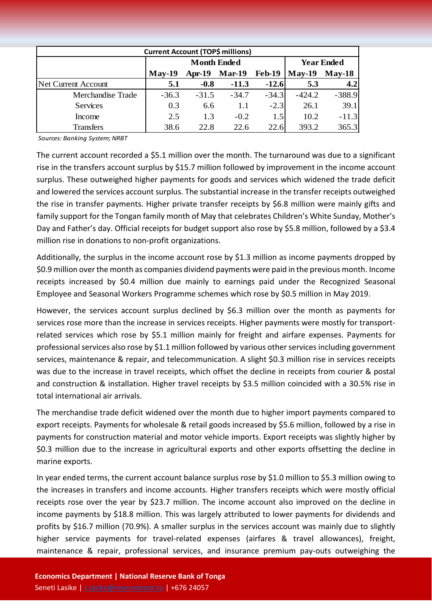| <b>Current Account (TOP\$ millions)</b> |                    |          |          |               |                   |          |  |  |
|-----------------------------------------|--------------------|----------|----------|---------------|-------------------|----------|--|--|
|                                         | <b>Month Ended</b> |          |          |               | <b>Year Ended</b> |          |  |  |
|                                         | $May-19$           | $Apr-19$ | $Mar-19$ | <b>Feb-19</b> | $May-19$          | $May-18$ |  |  |
| <b>Net Current Account</b>              | 5.1                | $-0.8$   | $-11.3$  | $-12.6$       | 5.3               | 4.2      |  |  |
| Merchandise Trade                       | $-36.3$            | $-31.5$  | $-34.7$  | $-34.3$       | $-424.2$          | $-388.9$ |  |  |
| <b>Services</b>                         | 0.3                | 6.6      | 1.1      | $-2.3$        | 26.1              | 39.1     |  |  |
| Income                                  | 2.5                | 1.3      | $-0.2$   | 1.5           | 10.2              | $-11.3$  |  |  |
| <b>Transfers</b>                        | 38.6               | 22.8     | 22.6     | 22.6          | 393.2             | 365.3    |  |  |

*Sources: Banking System; NRBT*

The current account recorded a \$5.1 million over the month. The turnaround was due to a significant rise in the transfers account surplus by \$15.7 million followed by improvement in the income account surplus. These outweighed higher payments for goods and services which widened the trade deficit and lowered the services account surplus. The substantial increase in the transfer receipts outweighed the rise in transfer payments. Higher private transfer receipts by \$6.8 million were mainly gifts and family support for the Tongan family month of May that celebrates Children's White Sunday, Mother's Day and Father's day. Official receipts for budget support also rose by \$5.8 million, followed by a \$3.4 million rise in donations to non-profit organizations.

Additionally, the surplus in the income account rose by \$1.3 million as income payments dropped by \$0.9 million over the month as companies dividend payments were paid in the previous month. Income receipts increased by \$0.4 million due mainly to earnings paid under the Recognized Seasonal Employee and Seasonal Workers Programme schemes which rose by \$0.5 million in May 2019.

However, the services account surplus declined by \$6.3 million over the month as payments for services rose more than the increase in services receipts. Higher payments were mostly for transportrelated services which rose by \$5.1 million mainly for freight and airfare expenses. Payments for professional services also rose by \$1.1 million followed by various other services including government services, maintenance & repair, and telecommunication. A slight \$0.3 million rise in services receipts was due to the increase in travel receipts, which offset the decline in receipts from courier & postal and construction & installation. Higher travel receipts by \$3.5 million coincided with a 30.5% rise in total international air arrivals.

The merchandise trade deficit widened over the month due to higher import payments compared to export receipts. Payments for wholesale & retail goods increased by \$5.6 million, followed by a rise in payments for construction material and motor vehicle imports. Export receipts was slightly higher by \$0.3 million due to the increase in agricultural exports and other exports offsetting the decline in marine exports.

In year ended terms, the current account balance surplus rose by \$1.0 million to \$5.3 million owing to the increases in transfers and income accounts. Higher transfers receipts which were mostly official receipts rose over the year by \$23.7 million. The income account also improved on the decline in income payments by \$18.8 million. This was largely attributed to lower payments for dividends and profits by \$16.7 million (70.9%). A smaller surplus in the services account was mainly due to slightly higher service payments for travel-related expenses (airfares & travel allowances), freight, maintenance & repair, professional services, and insurance premium pay-outs outweighing the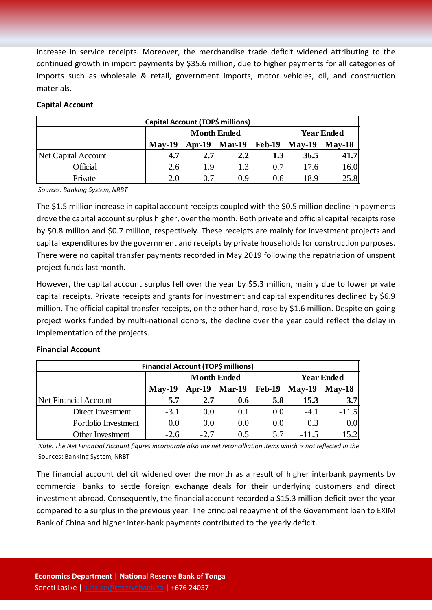increase in service receipts. Moreover, the merchandise trade deficit widened attributing to the continued growth in import payments by \$35.6 million, due to higher payments for all categories of imports such as wholesale & retail, government imports, motor vehicles, oil, and construction materials.

| Capital Account (TOP\$ millions) |          |                    |                   |      |                                      |      |  |  |  |
|----------------------------------|----------|--------------------|-------------------|------|--------------------------------------|------|--|--|--|
|                                  |          | <b>Month Ended</b> | <b>Year Ended</b> |      |                                      |      |  |  |  |
|                                  | $Mav-19$ |                    |                   |      | Apr-19 Mar-19 Feb-19   May-19 May-18 |      |  |  |  |
| Net Capital Account              | 4.7      | 2.7                | 2.2               | 1.3  | 36.5                                 | 41.7 |  |  |  |
| Official                         | 2.6      | 1.9                | 1.3               | 0.7  | 17.6                                 | 16.0 |  |  |  |
| Private                          | 2.0      | 0.7                | 0.9               | 0.61 | 18.9                                 | 25.8 |  |  |  |

#### **Capital Account**

*Sources: Banking System; NRBT*

The \$1.5 million increase in capital account receipts coupled with the \$0.5 million decline in payments drove the capital account surplus higher, over the month. Both private and official capital receipts rose by \$0.8 million and \$0.7 million, respectively. These receipts are mainly for investment projects and capital expenditures by the government and receipts by private households for construction purposes. There were no capital transfer payments recorded in May 2019 following the repatriation of unspent project funds last month.

However, the capital account surplus fell over the year by \$5.3 million, mainly due to lower private capital receipts. Private receipts and grants for investment and capital expenditures declined by \$6.9 million. The official capital transfer receipts, on the other hand, rose by \$1.6 million. Despite on-going project works funded by multi-national donors, the decline over the year could reflect the delay in implementation of the projects.

#### **Financial Account**

| Financial Account (TOP\$ millions) |          |                    |                   |          |          |                  |  |  |
|------------------------------------|----------|--------------------|-------------------|----------|----------|------------------|--|--|
|                                    |          | <b>Month Ended</b> | <b>Year Ended</b> |          |          |                  |  |  |
|                                    | $Mav-19$ | <b>Apr-19</b>      | <b>Mar-19</b>     | $Feb-19$ | $Mav-19$ | $Mav-18$         |  |  |
| Net Financial Account              | $-5.7$   | $-2.7$             | 0.6               | 5.8      | $-15.3$  | 3.7              |  |  |
| Direct Investment                  | $-3.1$   | 0.0                | 0.1               | 0.0      | $-4.1$   | $-11.5$          |  |  |
| Portfolio Investment               | 0.0      | 0.0                | 0.0               | 0.0      | 0.3      | 0.0 <sub>l</sub> |  |  |
| Other Investment                   | $-2.6$   | $-2.7$             | 0.5               | 5.7      | $-115$   | 15.2             |  |  |

*Note: The Net Financial Account figures incorporate also the net reconcilliation items which is not reflected in the*  Sources: Banking System; NRBT

The financial account deficit widened over the month as a result of higher interbank payments by commercial banks to settle foreign exchange deals for their underlying customers and direct investment abroad. Consequently, the financial account recorded a \$15.3 million deficit over the year compared to a surplus in the previous year. The principal repayment of the Government loan to EXIM Bank of China and higher inter-bank payments contributed to the yearly deficit.